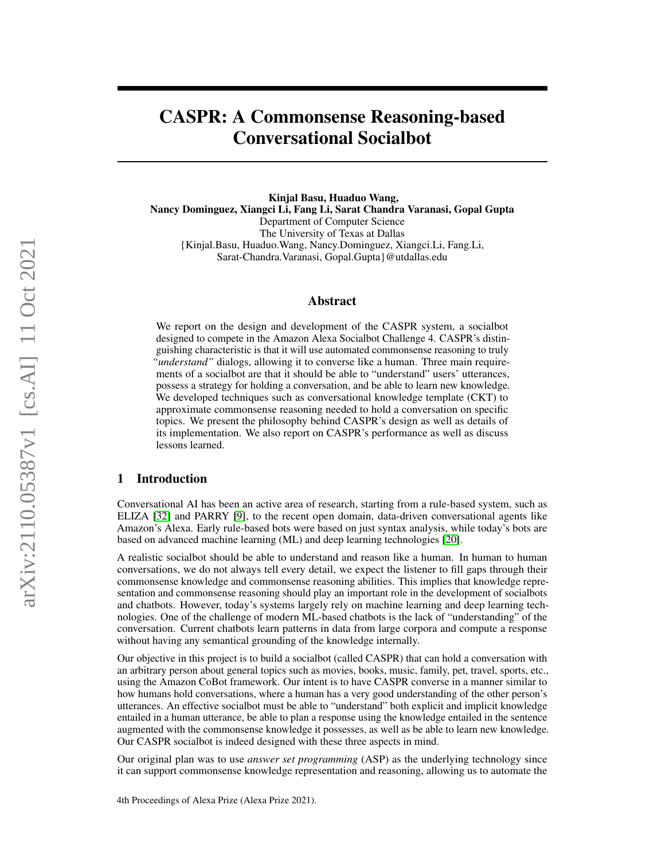# CASPR: A Commonsense Reasoning-based Conversational Socialbot

Kinjal Basu, Huaduo Wang, Nancy Dominguez, Xiangci Li, Fang Li, Sarat Chandra Varanasi, Gopal Gupta Department of Computer Science The University of Texas at Dallas {Kinjal.Basu, Huaduo.Wang, Nancy.Dominguez, Xiangci.Li, Fang.Li, Sarat-Chandra.Varanasi, Gopal.Gupta}@utdallas.edu

## Abstract

We report on the design and development of the CASPR system, a socialbot designed to compete in the Amazon Alexa Socialbot Challenge 4. CASPR's distinguishing characteristic is that it will use automated commonsense reasoning to truly *"understand"* dialogs, allowing it to converse like a human. Three main requirements of a socialbot are that it should be able to "understand" users' utterances, possess a strategy for holding a conversation, and be able to learn new knowledge. We developed techniques such as conversational knowledge template (CKT) to approximate commonsense reasoning needed to hold a conversation on specific topics. We present the philosophy behind CASPR's design as well as details of its implementation. We also report on CASPR's performance as well as discuss lessons learned.

## 1 Introduction

Conversational AI has been an active area of research, starting from a rule-based system, such as ELIZA [\[32\]](#page-20-0) and PARRY [\[9\]](#page-19-0), to the recent open domain, data-driven conversational agents like Amazon's Alexa. Early rule-based bots were based on just syntax analysis, while today's bots are based on advanced machine learning (ML) and deep learning technologies [\[20\]](#page-19-1).

A realistic socialbot should be able to understand and reason like a human. In human to human conversations, we do not always tell every detail, we expect the listener to fill gaps through their commonsense knowledge and commonsense reasoning abilities. This implies that knowledge representation and commonsense reasoning should play an important role in the development of socialbots and chatbots. However, today's systems largely rely on machine learning and deep learning technologies. One of the challenge of modern ML-based chatbots is the lack of "understanding" of the conversation. Current chatbots learn patterns in data from large corpora and compute a response without having any semantical grounding of the knowledge internally.

Our objective in this project is to build a socialbot (called CASPR) that can hold a conversation with an arbitrary person about general topics such as movies, books, music, family, pet, travel, sports, etc., using the Amazon CoBot framework. Our intent is to have CASPR converse in a manner similar to how humans hold conversations, where a human has a very good understanding of the other person's utterances. An effective socialbot must be able to "understand" both explicit and implicit knowledge entailed in a human utterance, be able to plan a response using the knowledge entailed in the sentence augmented with the commonsense knowledge it possesses, as well as be able to learn new knowledge. Our CASPR socialbot is indeed designed with these three aspects in mind.

Our original plan was to use *answer set programming* (ASP) as the underlying technology since it can support commonsense knowledge representation and reasoning, allowing us to automate the

4th Proceedings of Alexa Prize (Alexa Prize 2021).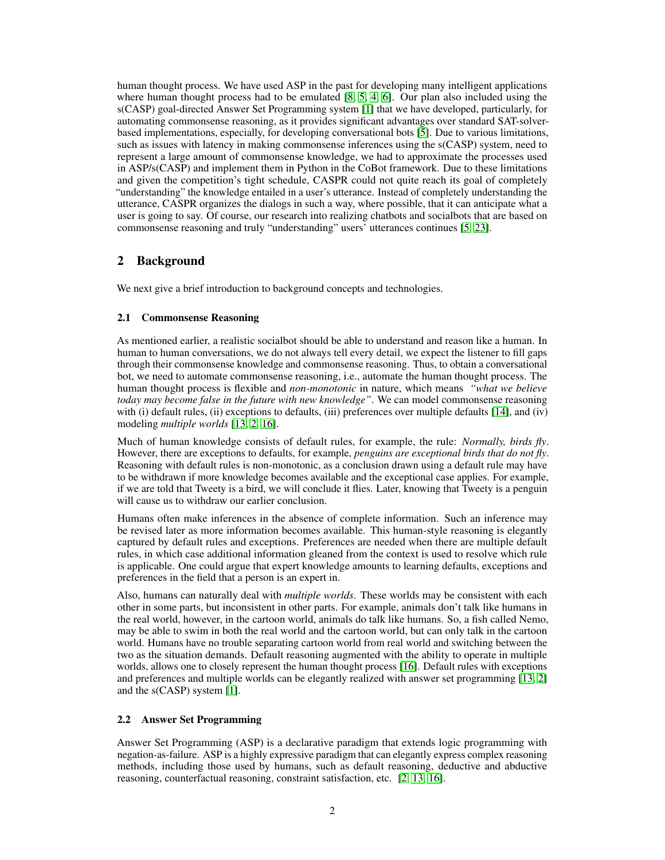human thought process. We have used ASP in the past for developing many intelligent applications where human thought process had to be emulated [\[8,](#page-18-0) [5,](#page-18-1) [4,](#page-18-2) [6\]](#page-18-3). Our plan also included using the s(CASP) goal-directed Answer Set Programming system [\[1\]](#page-18-4) that we have developed, particularly, for automating commonsense reasoning, as it provides significant advantages over standard SAT-solverbased implementations, especially, for developing conversational bots [\[5\]](#page-18-1). Due to various limitations, such as issues with latency in making commonsense inferences using the s(CASP) system, need to represent a large amount of commonsense knowledge, we had to approximate the processes used in ASP/s(CASP) and implement them in Python in the CoBot framework. Due to these limitations and given the competition's tight schedule, CASPR could not quite reach its goal of completely "understanding" the knowledge entailed in a user's utterance. Instead of completely understanding the utterance, CASPR organizes the dialogs in such a way, where possible, that it can anticipate what a user is going to say. Of course, our research into realizing chatbots and socialbots that are based on commonsense reasoning and truly "understanding" users' utterances continues [\[5,](#page-18-1) [23\]](#page-19-2).

## 2 Background

We next give a brief introduction to background concepts and technologies.

#### 2.1 Commonsense Reasoning

As mentioned earlier, a realistic socialbot should be able to understand and reason like a human. In human to human conversations, we do not always tell every detail, we expect the listener to fill gaps through their commonsense knowledge and commonsense reasoning. Thus, to obtain a conversational bot, we need to automate commonsense reasoning, i.e., automate the human thought process. The human thought process is flexible and *non-monotonic* in nature, which means *"what we believe today may become false in the future with new knowledge"*. We can model commonsense reasoning with (i) default rules, (ii) exceptions to defaults, (iii) preferences over multiple defaults [\[14\]](#page-19-3), and (iv) modeling *multiple worlds* [\[13,](#page-19-4) [2,](#page-18-5) [16\]](#page-19-5).

Much of human knowledge consists of default rules, for example, the rule: *Normally, birds fly*. However, there are exceptions to defaults, for example, *penguins are exceptional birds that do not fly*. Reasoning with default rules is non-monotonic, as a conclusion drawn using a default rule may have to be withdrawn if more knowledge becomes available and the exceptional case applies. For example, if we are told that Tweety is a bird, we will conclude it flies. Later, knowing that Tweety is a penguin will cause us to withdraw our earlier conclusion.

Humans often make inferences in the absence of complete information. Such an inference may be revised later as more information becomes available. This human-style reasoning is elegantly captured by default rules and exceptions. Preferences are needed when there are multiple default rules, in which case additional information gleaned from the context is used to resolve which rule is applicable. One could argue that expert knowledge amounts to learning defaults, exceptions and preferences in the field that a person is an expert in.

Also, humans can naturally deal with *multiple worlds*. These worlds may be consistent with each other in some parts, but inconsistent in other parts. For example, animals don't talk like humans in the real world, however, in the cartoon world, animals do talk like humans. So, a fish called Nemo, may be able to swim in both the real world and the cartoon world, but can only talk in the cartoon world. Humans have no trouble separating cartoon world from real world and switching between the two as the situation demands. Default reasoning augmented with the ability to operate in multiple worlds, allows one to closely represent the human thought process [\[16\]](#page-19-5). Default rules with exceptions and preferences and multiple worlds can be elegantly realized with answer set programming [\[13,](#page-19-4) [2\]](#page-18-5) and the s(CASP) system [\[1\]](#page-18-4).

#### 2.2 Answer Set Programming

Answer Set Programming (ASP) is a declarative paradigm that extends logic programming with negation-as-failure. ASP is a highly expressive paradigm that can elegantly express complex reasoning methods, including those used by humans, such as default reasoning, deductive and abductive reasoning, counterfactual reasoning, constraint satisfaction, etc. [\[2,](#page-18-5) [13,](#page-19-4) [16\]](#page-19-5).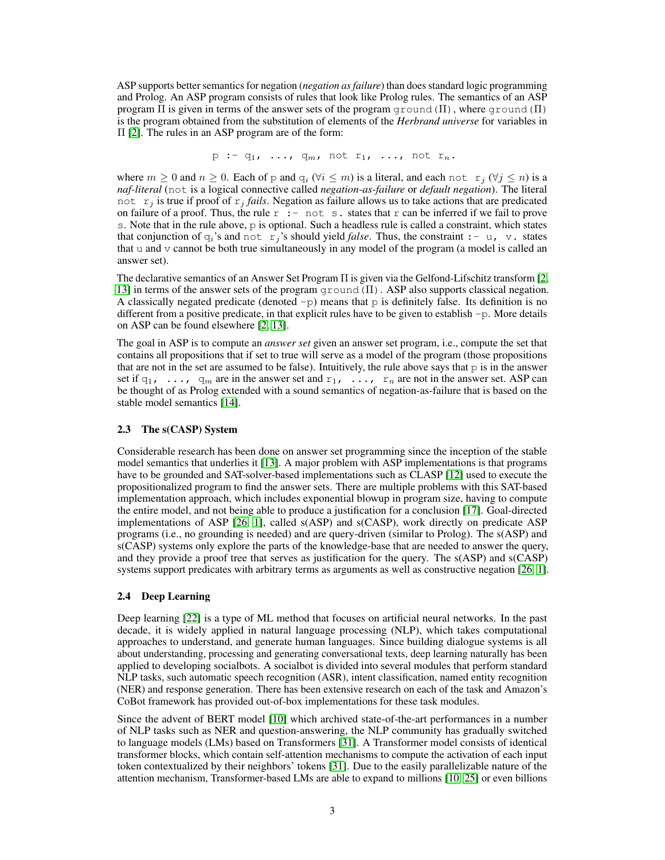ASP supports better semantics for negation (*negation as failure*) than does standard logic programming and Prolog. An ASP program consists of rules that look like Prolog rules. The semantics of an ASP program  $\Pi$  is given in terms of the answer sets of the program ground ( $\Pi$ ), where ground ( $\Pi$ ) is the program obtained from the substitution of elements of the *Herbrand universe* for variables in Π [\[2\]](#page-18-5). The rules in an ASP program are of the form:

$$
p := q_1, \ldots, q_m, \text{ not } r_1, \ldots, \text{ not } r_n.
$$

where  $m \geq 0$  and  $n \geq 0$ . Each of p and  $q_i$  ( $\forall i \leq m$ ) is a literal, and each not  $r_j$  ( $\forall j \leq n$ ) is a *naf-literal* (not is a logical connective called *negation-as-failure* or *default negation*). The literal not  $r_j$  is true if proof of  $r_j$  *fails*. Negation as failure allows us to take actions that are predicated on failure of a proof. Thus, the rule  $r : - \text{not } s$ . states that r can be inferred if we fail to prove s. Note that in the rule above, p is optional. Such a headless rule is called a constraint, which states that conjunction of  $q_i$ 's and not  $r_j$ 's should yield *false*. Thus, the constraint  $:- u, v$ , states that u and  $\nu$  cannot be both true simultaneously in any model of the program (a model is called an answer set).

The declarative semantics of an Answer Set Program Π is given via the Gelfond-Lifschitz transform [\[2,](#page-18-5) [13\]](#page-19-4) in terms of the answer sets of the program  $q$ round( $\Pi$ ). ASP also supports classical negation. A classically negated predicate (denoted  $-p$ ) means that p is definitely false. Its definition is no different from a positive predicate, in that explicit rules have to be given to establish -p. More details on ASP can be found elsewhere [\[2,](#page-18-5) [13\]](#page-19-4).

The goal in ASP is to compute an *answer set* given an answer set program, i.e., compute the set that contains all propositions that if set to true will serve as a model of the program (those propositions that are not in the set are assumed to be false). Intuitively, the rule above says that p is in the answer set if  $q_1$ , ...,  $q_m$  are in the answer set and  $r_1$ , ...,  $r_n$  are not in the answer set. ASP can be thought of as Prolog extended with a sound semantics of negation-as-failure that is based on the stable model semantics [\[14\]](#page-19-3).

#### 2.3 The s(CASP) System

Considerable research has been done on answer set programming since the inception of the stable model semantics that underlies it [\[13\]](#page-19-4). A major problem with ASP implementations is that programs have to be grounded and SAT-solver-based implementations such as CLASP [\[12\]](#page-19-6) used to execute the propositionalized program to find the answer sets. There are multiple problems with this SAT-based implementation approach, which includes exponential blowup in program size, having to compute the entire model, and not being able to produce a justification for a conclusion [\[17\]](#page-19-7). Goal-directed implementations of ASP [\[26,](#page-19-8) [1\]](#page-18-4), called s(ASP) and s(CASP), work directly on predicate ASP programs (i.e., no grounding is needed) and are query-driven (similar to Prolog). The s(ASP) and s(CASP) systems only explore the parts of the knowledge-base that are needed to answer the query, and they provide a proof tree that serves as justification for the query. The s(ASP) and s(CASP) systems support predicates with arbitrary terms as arguments as well as constructive negation [\[26,](#page-19-8) [1\]](#page-18-4).

#### 2.4 Deep Learning

Deep learning [\[22\]](#page-19-9) is a type of ML method that focuses on artificial neural networks. In the past decade, it is widely applied in natural language processing (NLP), which takes computational approaches to understand, and generate human languages. Since building dialogue systems is all about understanding, processing and generating conversational texts, deep learning naturally has been applied to developing socialbots. A socialbot is divided into several modules that perform standard NLP tasks, such automatic speech recognition (ASR), intent classification, named entity recognition (NER) and response generation. There has been extensive research on each of the task and Amazon's CoBot framework has provided out-of-box implementations for these task modules.

Since the advent of BERT model [\[10\]](#page-19-10) which archived state-of-the-art performances in a number of NLP tasks such as NER and question-answering, the NLP community has gradually switched to language models (LMs) based on Transformers [\[31\]](#page-20-1). A Transformer model consists of identical transformer blocks, which contain self-attention mechanisms to compute the activation of each input token contextualized by their neighbors' tokens [\[31\]](#page-20-1). Due to the easily parallelizable nature of the attention mechanism, Transformer-based LMs are able to expand to millions [\[10,](#page-19-10) [25\]](#page-19-11) or even billions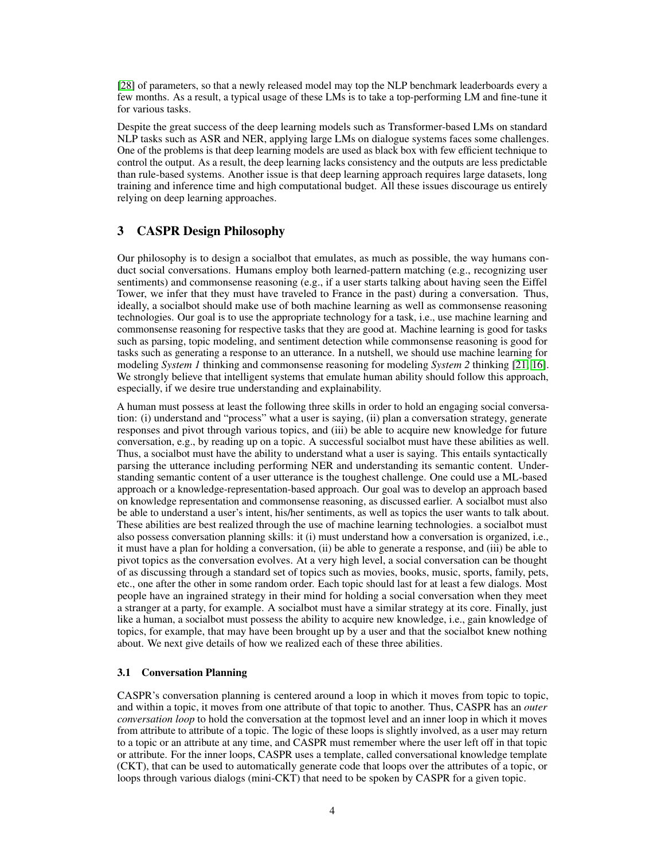[\[28\]](#page-20-2) of parameters, so that a newly released model may top the NLP benchmark leaderboards every a few months. As a result, a typical usage of these LMs is to take a top-performing LM and fine-tune it for various tasks.

Despite the great success of the deep learning models such as Transformer-based LMs on standard NLP tasks such as ASR and NER, applying large LMs on dialogue systems faces some challenges. One of the problems is that deep learning models are used as black box with few efficient technique to control the output. As a result, the deep learning lacks consistency and the outputs are less predictable than rule-based systems. Another issue is that deep learning approach requires large datasets, long training and inference time and high computational budget. All these issues discourage us entirely relying on deep learning approaches.

## 3 CASPR Design Philosophy

Our philosophy is to design a socialbot that emulates, as much as possible, the way humans conduct social conversations. Humans employ both learned-pattern matching (e.g., recognizing user sentiments) and commonsense reasoning (e.g., if a user starts talking about having seen the Eiffel Tower, we infer that they must have traveled to France in the past) during a conversation. Thus, ideally, a socialbot should make use of both machine learning as well as commonsense reasoning technologies. Our goal is to use the appropriate technology for a task, i.e., use machine learning and commonsense reasoning for respective tasks that they are good at. Machine learning is good for tasks such as parsing, topic modeling, and sentiment detection while commonsense reasoning is good for tasks such as generating a response to an utterance. In a nutshell, we should use machine learning for modeling *System 1* thinking and commonsense reasoning for modeling *System 2* thinking [\[21,](#page-19-12) [16\]](#page-19-5). We strongly believe that intelligent systems that emulate human ability should follow this approach, especially, if we desire true understanding and explainability.

A human must possess at least the following three skills in order to hold an engaging social conversation: (i) understand and "process" what a user is saying, (ii) plan a conversation strategy, generate responses and pivot through various topics, and (iii) be able to acquire new knowledge for future conversation, e.g., by reading up on a topic. A successful socialbot must have these abilities as well. Thus, a socialbot must have the ability to understand what a user is saying. This entails syntactically parsing the utterance including performing NER and understanding its semantic content. Understanding semantic content of a user utterance is the toughest challenge. One could use a ML-based approach or a knowledge-representation-based approach. Our goal was to develop an approach based on knowledge representation and commonsense reasoning, as discussed earlier. A socialbot must also be able to understand a user's intent, his/her sentiments, as well as topics the user wants to talk about. These abilities are best realized through the use of machine learning technologies. a socialbot must also possess conversation planning skills: it (i) must understand how a conversation is organized, i.e., it must have a plan for holding a conversation, (ii) be able to generate a response, and (iii) be able to pivot topics as the conversation evolves. At a very high level, a social conversation can be thought of as discussing through a standard set of topics such as movies, books, music, sports, family, pets, etc., one after the other in some random order. Each topic should last for at least a few dialogs. Most people have an ingrained strategy in their mind for holding a social conversation when they meet a stranger at a party, for example. A socialbot must have a similar strategy at its core. Finally, just like a human, a socialbot must possess the ability to acquire new knowledge, i.e., gain knowledge of topics, for example, that may have been brought up by a user and that the socialbot knew nothing about. We next give details of how we realized each of these three abilities.

#### 3.1 Conversation Planning

CASPR's conversation planning is centered around a loop in which it moves from topic to topic, and within a topic, it moves from one attribute of that topic to another. Thus, CASPR has an *outer conversation loop* to hold the conversation at the topmost level and an inner loop in which it moves from attribute to attribute of a topic. The logic of these loops is slightly involved, as a user may return to a topic or an attribute at any time, and CASPR must remember where the user left off in that topic or attribute. For the inner loops, CASPR uses a template, called conversational knowledge template (CKT), that can be used to automatically generate code that loops over the attributes of a topic, or loops through various dialogs (mini-CKT) that need to be spoken by CASPR for a given topic.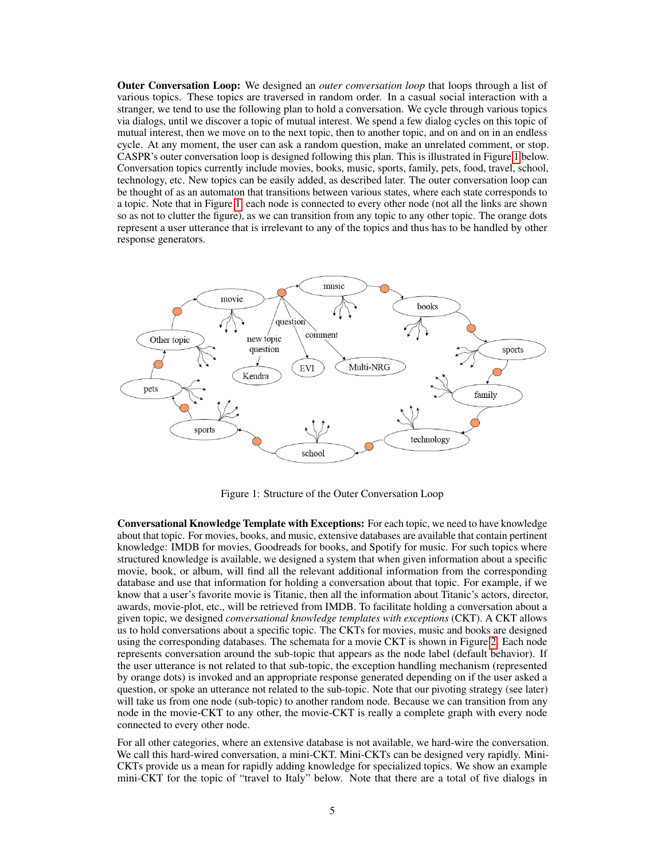Outer Conversation Loop: We designed an *outer conversation loop* that loops through a list of various topics. These topics are traversed in random order. In a casual social interaction with a stranger, we tend to use the following plan to hold a conversation. We cycle through various topics via dialogs, until we discover a topic of mutual interest. We spend a few dialog cycles on this topic of mutual interest, then we move on to the next topic, then to another topic, and on and on in an endless cycle. At any moment, the user can ask a random question, make an unrelated comment, or stop. CASPR's outer conversation loop is designed following this plan. This is illustrated in Figure [1](#page-4-0) below. Conversation topics currently include movies, books, music, sports, family, pets, food, travel, school, technology, etc. New topics can be easily added, as described later. The outer conversation loop can be thought of as an automaton that transitions between various states, where each state corresponds to a topic. Note that in Figure [1,](#page-4-0) each node is connected to every other node (not all the links are shown so as not to clutter the figure), as we can transition from any topic to any other topic. The orange dots represent a user utterance that is irrelevant to any of the topics and thus has to be handled by other response generators.



<span id="page-4-0"></span>Figure 1: Structure of the Outer Conversation Loop

Conversational Knowledge Template with Exceptions: For each topic, we need to have knowledge about that topic. For movies, books, and music, extensive databases are available that contain pertinent knowledge: IMDB for movies, Goodreads for books, and Spotify for music. For such topics where structured knowledge is available, we designed a system that when given information about a specific movie, book, or album, will find all the relevant additional information from the corresponding database and use that information for holding a conversation about that topic. For example, if we know that a user's favorite movie is Titanic, then all the information about Titanic's actors, director, awards, movie-plot, etc., will be retrieved from IMDB. To facilitate holding a conversation about a given topic, we designed *conversational knowledge templates with exceptions* (CKT). A CKT allows us to hold conversations about a specific topic. The CKTs for movies, music and books are designed using the corresponding databases. The schemata for a movie CKT is shown in Figure [2.](#page-5-0) Each node represents conversation around the sub-topic that appears as the node label (default behavior). If the user utterance is not related to that sub-topic, the exception handling mechanism (represented by orange dots) is invoked and an appropriate response generated depending on if the user asked a question, or spoke an utterance not related to the sub-topic. Note that our pivoting strategy (see later) will take us from one node (sub-topic) to another random node. Because we can transition from any node in the movie-CKT to any other, the movie-CKT is really a complete graph with every node connected to every other node.

For all other categories, where an extensive database is not available, we hard-wire the conversation. We call this hard-wired conversation, a mini-CKT. Mini-CKTs can be designed very rapidly. Mini-CKTs provide us a mean for rapidly adding knowledge for specialized topics. We show an example mini-CKT for the topic of "travel to Italy" below. Note that there are a total of five dialogs in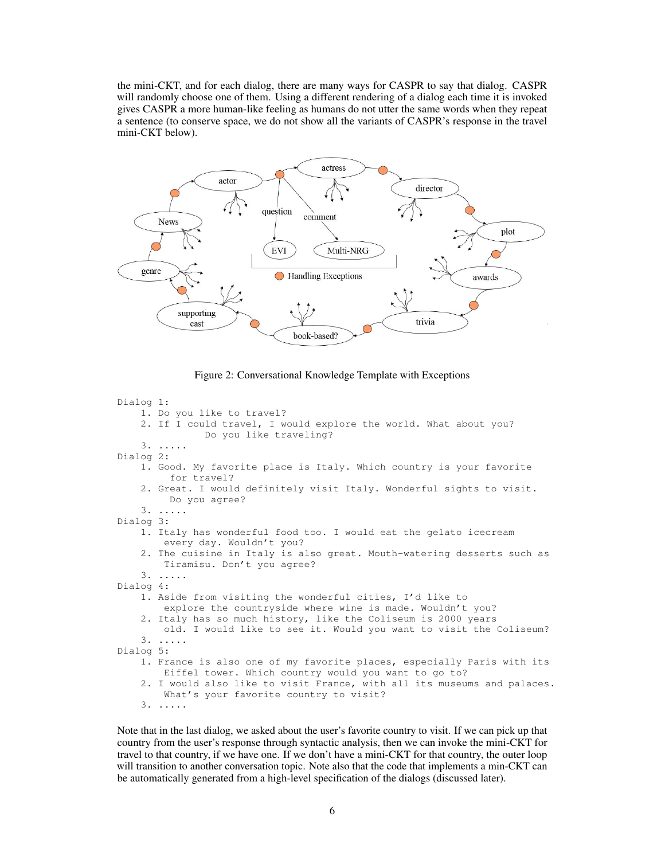the mini-CKT, and for each dialog, there are many ways for CASPR to say that dialog. CASPR will randomly choose one of them. Using a different rendering of a dialog each time it is invoked gives CASPR a more human-like feeling as humans do not utter the same words when they repeat a sentence (to conserve space, we do not show all the variants of CASPR's response in the travel mini-CKT below).



<span id="page-5-0"></span>Figure 2: Conversational Knowledge Template with Exceptions

```
Dialog 1:
    1. Do you like to travel?
    2. If I could travel, I would explore the world. What about you?
               Do you like traveling?
    3. .....
Dialog 2:
    1. Good. My favorite place is Italy. Which country is your favorite
         for travel?
    2. Great. I would definitely visit Italy. Wonderful sights to visit.
         Do you agree?
    3. .....
Dialog 3:
    1. Italy has wonderful food too. I would eat the gelato icecream
        every day. Wouldn't you?
    2. The cuisine in Italy is also great. Mouth-watering desserts such as
       Tiramisu. Don't you agree?
    3. .....
Dialog 4:
    1. Aside from visiting the wonderful cities, I'd like to
        explore the countryside where wine is made. Wouldn't you?
    2. Italy has so much history, like the Coliseum is 2000 years
        old. I would like to see it. Would you want to visit the Coliseum?
    3. .....
Dialog 5:
    1. France is also one of my favorite places, especially Paris with its
       Eiffel tower. Which country would you want to go to?
    2. I would also like to visit France, with all its museums and palaces.
        What's your favorite country to visit?
    3. .....
```
Note that in the last dialog, we asked about the user's favorite country to visit. If we can pick up that country from the user's response through syntactic analysis, then we can invoke the mini-CKT for travel to that country, if we have one. If we don't have a mini-CKT for that country, the outer loop will transition to another conversation topic. Note also that the code that implements a min-CKT can be automatically generated from a high-level specification of the dialogs (discussed later).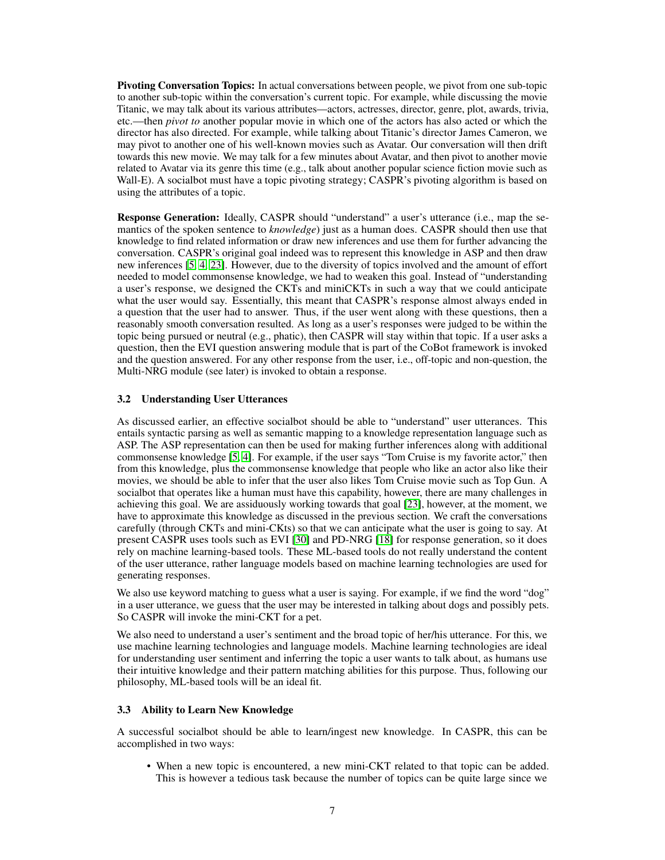Pivoting Conversation Topics: In actual conversations between people, we pivot from one sub-topic to another sub-topic within the conversation's current topic. For example, while discussing the movie Titanic, we may talk about its various attributes—actors, actresses, director, genre, plot, awards, trivia, etc.—then *pivot to* another popular movie in which one of the actors has also acted or which the director has also directed. For example, while talking about Titanic's director James Cameron, we may pivot to another one of his well-known movies such as Avatar. Our conversation will then drift towards this new movie. We may talk for a few minutes about Avatar, and then pivot to another movie related to Avatar via its genre this time (e.g., talk about another popular science fiction movie such as Wall-E). A socialbot must have a topic pivoting strategy; CASPR's pivoting algorithm is based on using the attributes of a topic.

Response Generation: Ideally, CASPR should "understand" a user's utterance (i.e., map the semantics of the spoken sentence to *knowledge*) just as a human does. CASPR should then use that knowledge to find related information or draw new inferences and use them for further advancing the conversation. CASPR's original goal indeed was to represent this knowledge in ASP and then draw new inferences [\[5,](#page-18-1) [4,](#page-18-2) [23\]](#page-19-2). However, due to the diversity of topics involved and the amount of effort needed to model commonsense knowledge, we had to weaken this goal. Instead of "understanding a user's response, we designed the CKTs and miniCKTs in such a way that we could anticipate what the user would say. Essentially, this meant that CASPR's response almost always ended in a question that the user had to answer. Thus, if the user went along with these questions, then a reasonably smooth conversation resulted. As long as a user's responses were judged to be within the topic being pursued or neutral (e.g., phatic), then CASPR will stay within that topic. If a user asks a question, then the EVI question answering module that is part of the CoBot framework is invoked and the question answered. For any other response from the user, i.e., off-topic and non-question, the Multi-NRG module (see later) is invoked to obtain a response.

#### 3.2 Understanding User Utterances

As discussed earlier, an effective socialbot should be able to "understand" user utterances. This entails syntactic parsing as well as semantic mapping to a knowledge representation language such as ASP. The ASP representation can then be used for making further inferences along with additional commonsense knowledge [\[5,](#page-18-1) [4\]](#page-18-2). For example, if the user says "Tom Cruise is my favorite actor," then from this knowledge, plus the commonsense knowledge that people who like an actor also like their movies, we should be able to infer that the user also likes Tom Cruise movie such as Top Gun. A socialbot that operates like a human must have this capability, however, there are many challenges in achieving this goal. We are assiduously working towards that goal [\[23\]](#page-19-2), however, at the moment, we have to approximate this knowledge as discussed in the previous section. We craft the conversations carefully (through CKTs and mini-CKts) so that we can anticipate what the user is going to say. At present CASPR uses tools such as EVI [\[30\]](#page-20-3) and PD-NRG [\[18\]](#page-19-13) for response generation, so it does rely on machine learning-based tools. These ML-based tools do not really understand the content of the user utterance, rather language models based on machine learning technologies are used for generating responses.

We also use keyword matching to guess what a user is saying. For example, if we find the word "dog" in a user utterance, we guess that the user may be interested in talking about dogs and possibly pets. So CASPR will invoke the mini-CKT for a pet.

We also need to understand a user's sentiment and the broad topic of her/his utterance. For this, we use machine learning technologies and language models. Machine learning technologies are ideal for understanding user sentiment and inferring the topic a user wants to talk about, as humans use their intuitive knowledge and their pattern matching abilities for this purpose. Thus, following our philosophy, ML-based tools will be an ideal fit.

#### 3.3 Ability to Learn New Knowledge

A successful socialbot should be able to learn/ingest new knowledge. In CASPR, this can be accomplished in two ways:

• When a new topic is encountered, a new mini-CKT related to that topic can be added. This is however a tedious task because the number of topics can be quite large since we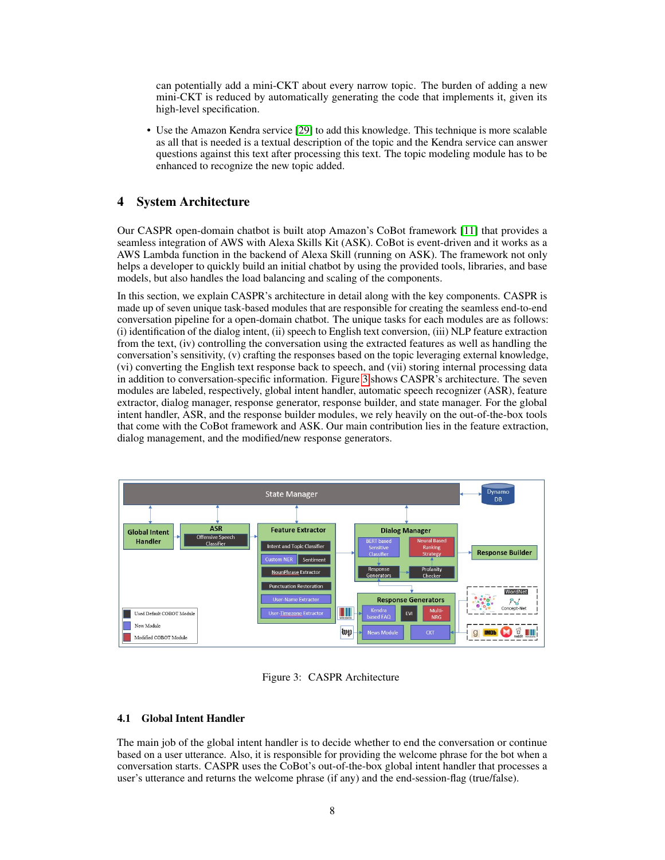can potentially add a mini-CKT about every narrow topic. The burden of adding a new mini-CKT is reduced by automatically generating the code that implements it, given its high-level specification.

• Use the Amazon Kendra service [\[29\]](#page-20-4) to add this knowledge. This technique is more scalable as all that is needed is a textual description of the topic and the Kendra service can answer questions against this text after processing this text. The topic modeling module has to be enhanced to recognize the new topic added.

## 4 System Architecture

Our CASPR open-domain chatbot is built atop Amazon's CoBot framework [\[11\]](#page-19-14) that provides a seamless integration of AWS with Alexa Skills Kit (ASK). CoBot is event-driven and it works as a AWS Lambda function in the backend of Alexa Skill (running on ASK). The framework not only helps a developer to quickly build an initial chatbot by using the provided tools, libraries, and base models, but also handles the load balancing and scaling of the components.

In this section, we explain CASPR's architecture in detail along with the key components. CASPR is made up of seven unique task-based modules that are responsible for creating the seamless end-to-end conversation pipeline for a open-domain chatbot. The unique tasks for each modules are as follows: (i) identification of the dialog intent, (ii) speech to English text conversion, (iii) NLP feature extraction from the text, (iv) controlling the conversation using the extracted features as well as handling the conversation's sensitivity, (v) crafting the responses based on the topic leveraging external knowledge, (vi) converting the English text response back to speech, and (vii) storing internal processing data in addition to conversation-specific information. Figure [3](#page-7-0) shows CASPR's architecture. The seven modules are labeled, respectively, global intent handler, automatic speech recognizer (ASR), feature extractor, dialog manager, response generator, response builder, and state manager. For the global intent handler, ASR, and the response builder modules, we rely heavily on the out-of-the-box tools that come with the CoBot framework and ASK. Our main contribution lies in the feature extraction, dialog management, and the modified/new response generators.



<span id="page-7-0"></span>Figure 3: CASPR Architecture

#### 4.1 Global Intent Handler

The main job of the global intent handler is to decide whether to end the conversation or continue based on a user utterance. Also, it is responsible for providing the welcome phrase for the bot when a conversation starts. CASPR uses the CoBot's out-of-the-box global intent handler that processes a user's utterance and returns the welcome phrase (if any) and the end-session-flag (true/false).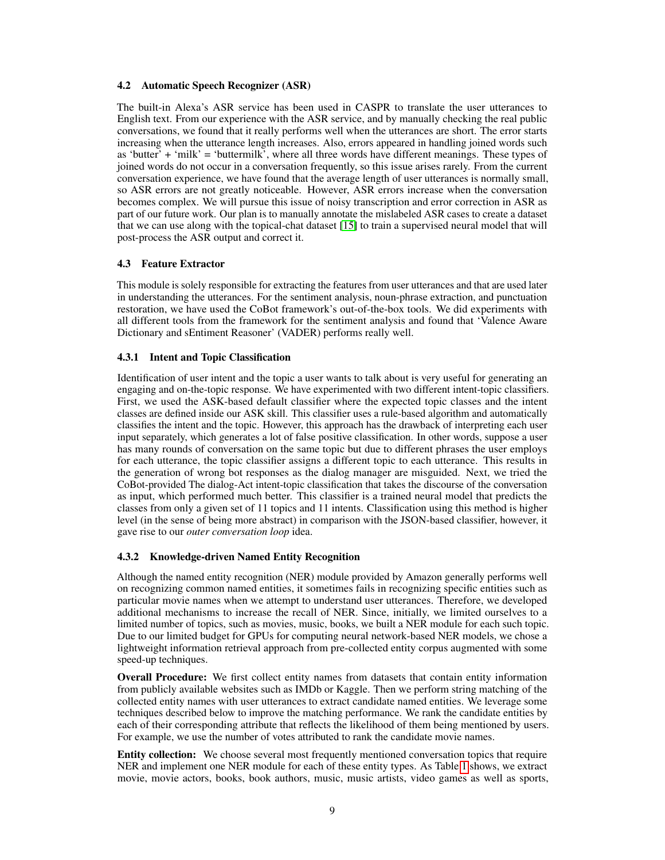#### 4.2 Automatic Speech Recognizer (ASR)

The built-in Alexa's ASR service has been used in CASPR to translate the user utterances to English text. From our experience with the ASR service, and by manually checking the real public conversations, we found that it really performs well when the utterances are short. The error starts increasing when the utterance length increases. Also, errors appeared in handling joined words such as 'butter' + 'milk' = 'buttermilk', where all three words have different meanings. These types of joined words do not occur in a conversation frequently, so this issue arises rarely. From the current conversation experience, we have found that the average length of user utterances is normally small, so ASR errors are not greatly noticeable. However, ASR errors increase when the conversation becomes complex. We will pursue this issue of noisy transcription and error correction in ASR as part of our future work. Our plan is to manually annotate the mislabeled ASR cases to create a dataset that we can use along with the topical-chat dataset [\[15\]](#page-19-15) to train a supervised neural model that will post-process the ASR output and correct it.

#### 4.3 Feature Extractor

This module is solely responsible for extracting the features from user utterances and that are used later in understanding the utterances. For the sentiment analysis, noun-phrase extraction, and punctuation restoration, we have used the CoBot framework's out-of-the-box tools. We did experiments with all different tools from the framework for the sentiment analysis and found that 'Valence Aware Dictionary and sEntiment Reasoner' (VADER) performs really well.

## 4.3.1 Intent and Topic Classification

Identification of user intent and the topic a user wants to talk about is very useful for generating an engaging and on-the-topic response. We have experimented with two different intent-topic classifiers. First, we used the ASK-based default classifier where the expected topic classes and the intent classes are defined inside our ASK skill. This classifier uses a rule-based algorithm and automatically classifies the intent and the topic. However, this approach has the drawback of interpreting each user input separately, which generates a lot of false positive classification. In other words, suppose a user has many rounds of conversation on the same topic but due to different phrases the user employs for each utterance, the topic classifier assigns a different topic to each utterance. This results in the generation of wrong bot responses as the dialog manager are misguided. Next, we tried the CoBot-provided The dialog-Act intent-topic classification that takes the discourse of the conversation as input, which performed much better. This classifier is a trained neural model that predicts the classes from only a given set of 11 topics and 11 intents. Classification using this method is higher level (in the sense of being more abstract) in comparison with the JSON-based classifier, however, it gave rise to our *outer conversation loop* idea.

#### 4.3.2 Knowledge-driven Named Entity Recognition

Although the named entity recognition (NER) module provided by Amazon generally performs well on recognizing common named entities, it sometimes fails in recognizing specific entities such as particular movie names when we attempt to understand user utterances. Therefore, we developed additional mechanisms to increase the recall of NER. Since, initially, we limited ourselves to a limited number of topics, such as movies, music, books, we built a NER module for each such topic. Due to our limited budget for GPUs for computing neural network-based NER models, we chose a lightweight information retrieval approach from pre-collected entity corpus augmented with some speed-up techniques.

Overall Procedure: We first collect entity names from datasets that contain entity information from publicly available websites such as IMDb or Kaggle. Then we perform string matching of the collected entity names with user utterances to extract candidate named entities. We leverage some techniques described below to improve the matching performance. We rank the candidate entities by each of their corresponding attribute that reflects the likelihood of them being mentioned by users. For example, we use the number of votes attributed to rank the candidate movie names.

Entity collection: We choose several most frequently mentioned conversation topics that require NER and implement one NER module for each of these entity types. As Table [1](#page-9-0) shows, we extract movie, movie actors, books, book authors, music, music artists, video games as well as sports,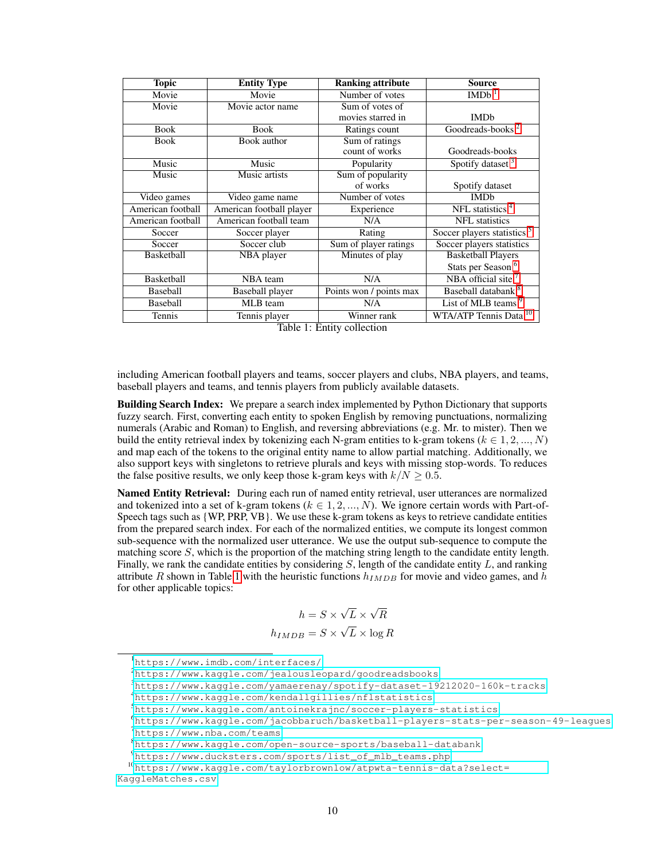| <b>Topic</b>      | <b>Entity Type</b>            | <b>Ranking attribute</b> | <b>Source</b>                          |  |
|-------------------|-------------------------------|--------------------------|----------------------------------------|--|
| Movie             | Movie                         | Number of votes          | <b>IMDb</b>                            |  |
| Movie             | Movie actor name              | Sum of votes of          |                                        |  |
|                   |                               | movies starred in        | <b>IMDb</b>                            |  |
| <b>Book</b>       | <b>Book</b>                   | Ratings count            | Goodreads-books <sup>2</sup>           |  |
| <b>Book</b>       | Book author                   | Sum of ratings           |                                        |  |
|                   |                               | count of works           | Goodreads-books                        |  |
| Music             | Music                         | Popularity               | Spotify dataset <sup>3</sup>           |  |
| Music             | Music artists                 | Sum of popularity        |                                        |  |
|                   |                               | of works                 | Spotify dataset                        |  |
| Video games       | Video game name               | Number of votes          | <b>IMDb</b>                            |  |
| American football | American football player      | Experience               | NFL statistics <sup>4</sup>            |  |
| American football | American football team        | N/A                      | <b>NFL</b> statistics                  |  |
| Soccer            | Soccer player                 | Rating                   | Soccer players statistics <sup>5</sup> |  |
| Soccer            | Soccer club                   | Sum of player ratings    | Soccer players statistics              |  |
| Basketball        | NBA player                    | Minutes of play          | <b>Basketball Players</b>              |  |
|                   |                               |                          | Stats per Season <sup>6</sup>          |  |
| Basketball        | NBA team                      | N/A                      | NBA official site $7$                  |  |
| Baseball          | Baseball player               | Points won / points max  | Baseball databank <sup>8</sup>         |  |
| Baseball          | MLB team                      | N/A                      | List of MLB teams <sup>9</sup>         |  |
| Tennis            | Tennis player<br><del>.</del> | Winner rank              | WTA/ATP Tennis Data <sup>10</sup>      |  |

<span id="page-9-0"></span>Table 1: Entity collection

including American football players and teams, soccer players and clubs, NBA players, and teams, baseball players and teams, and tennis players from publicly available datasets.

**Building Search Index:** We prepare a search index implemented by Python Dictionary that supports fuzzy search. First, converting each entity to spoken English by removing punctuations, normalizing numerals (Arabic and Roman) to English, and reversing abbreviations (e.g. Mr. to mister). Then we build the entity retrieval index by tokenizing each N-gram entities to k-gram tokens ( $k \in 1, 2, ..., N$ ) and map each of the tokens to the original entity name to allow partial matching. Additionally, we also support keys with singletons to retrieve plurals and keys with missing stop-words. To reduces the false positive results, we only keep those k-gram keys with  $k/N \geq 0.5$ .

Named Entity Retrieval: During each run of named entity retrieval, user utterances are normalized and tokenized into a set of k-gram tokens ( $k \in 1, 2, ..., N$ ). We ignore certain words with Part-of-Speech tags such as {WP, PRP, VB}. We use these k-gram tokens as keys to retrieve candidate entities from the prepared search index. For each of the normalized entities, we compute its longest common sub-sequence with the normalized user utterance. We use the output sub-sequence to compute the matching score S, which is the proportion of the matching string length to the candidate entity length. Finally, we rank the candidate entities by considering  $S$ , length of the candidate entity  $L$ , and ranking attribute R shown in Table [1](#page-9-0) with the heuristic functions  $h_{IMDB}$  for movie and video games, and h for other applicable topics:

$$
h = S \times \sqrt{L} \times \sqrt{R}
$$

$$
h_{IMDB} = S \times \sqrt{L} \times \log R
$$

<span id="page-9-1"></span><sup>1</sup><https://www.imdb.com/interfaces/>

<span id="page-9-2"></span><sup>2</sup><https://www.kaggle.com/jealousleopard/goodreadsbooks>

<span id="page-9-3"></span><sup>3</sup><https://www.kaggle.com/yamaerenay/spotify-dataset-19212020-160k-tracks>

<span id="page-9-4"></span><sup>4</sup><https://www.kaggle.com/kendallgillies/nflstatistics>

<span id="page-9-5"></span><sup>5</sup><https://www.kaggle.com/antoinekrajnc/soccer-players-statistics>

<span id="page-9-6"></span><sup>6</sup><https://www.kaggle.com/jacobbaruch/basketball-players-stats-per-season-49-leagues>

<span id="page-9-7"></span><sup>7</sup><https://www.nba.com/teams>

<span id="page-9-8"></span><sup>8</sup><https://www.kaggle.com/open-source-sports/baseball-databank>

<span id="page-9-10"></span><span id="page-9-9"></span><sup>9</sup>[https://www.ducksters.com/sports/list\\_of\\_mlb\\_teams.php](https://www.ducksters.com/sports/list_of_mlb_teams.php)

<sup>10</sup>[https://www.kaggle.com/taylorbrownlow/atpwta-tennis-data?select=](https://www.kaggle.com/taylorbrownlow/atpwta-tennis-data?select=KaggleMatches.csv) [KaggleMatches.csv](https://www.kaggle.com/taylorbrownlow/atpwta-tennis-data?select=KaggleMatches.csv)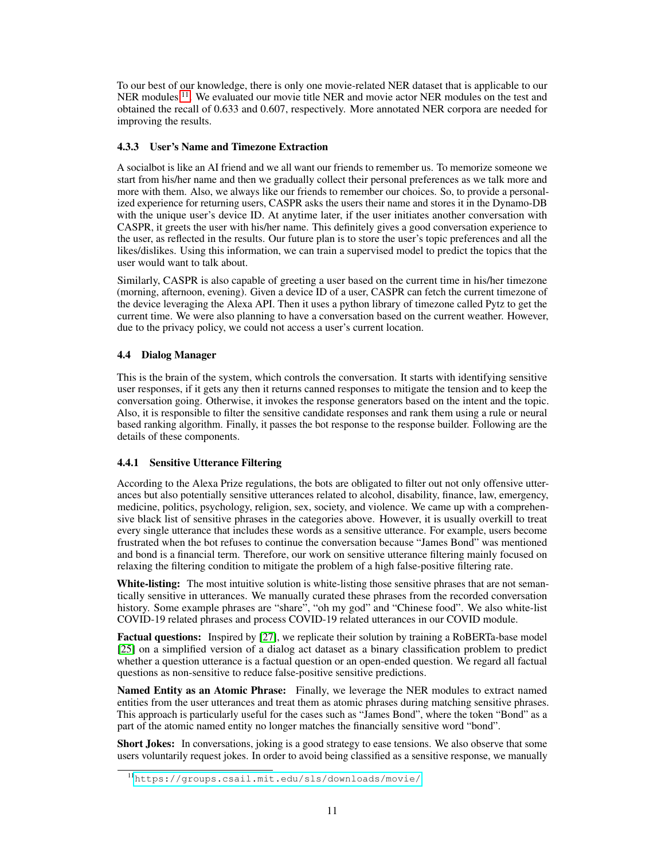To our best of our knowledge, there is only one movie-related NER dataset that is applicable to our NER modules <sup>[11](#page-10-0)</sup>. We evaluated our movie title NER and movie actor NER modules on the test and obtained the recall of 0.633 and 0.607, respectively. More annotated NER corpora are needed for improving the results.

## 4.3.3 User's Name and Timezone Extraction

A socialbot is like an AI friend and we all want our friends to remember us. To memorize someone we start from his/her name and then we gradually collect their personal preferences as we talk more and more with them. Also, we always like our friends to remember our choices. So, to provide a personalized experience for returning users, CASPR asks the users their name and stores it in the Dynamo-DB with the unique user's device ID. At anytime later, if the user initiates another conversation with CASPR, it greets the user with his/her name. This definitely gives a good conversation experience to the user, as reflected in the results. Our future plan is to store the user's topic preferences and all the likes/dislikes. Using this information, we can train a supervised model to predict the topics that the user would want to talk about.

Similarly, CASPR is also capable of greeting a user based on the current time in his/her timezone (morning, afternoon, evening). Given a device ID of a user, CASPR can fetch the current timezone of the device leveraging the Alexa API. Then it uses a python library of timezone called Pytz to get the current time. We were also planning to have a conversation based on the current weather. However, due to the privacy policy, we could not access a user's current location.

## 4.4 Dialog Manager

This is the brain of the system, which controls the conversation. It starts with identifying sensitive user responses, if it gets any then it returns canned responses to mitigate the tension and to keep the conversation going. Otherwise, it invokes the response generators based on the intent and the topic. Also, it is responsible to filter the sensitive candidate responses and rank them using a rule or neural based ranking algorithm. Finally, it passes the bot response to the response builder. Following are the details of these components.

## 4.4.1 Sensitive Utterance Filtering

According to the Alexa Prize regulations, the bots are obligated to filter out not only offensive utterances but also potentially sensitive utterances related to alcohol, disability, finance, law, emergency, medicine, politics, psychology, religion, sex, society, and violence. We came up with a comprehensive black list of sensitive phrases in the categories above. However, it is usually overkill to treat every single utterance that includes these words as a sensitive utterance. For example, users become frustrated when the bot refuses to continue the conversation because "James Bond" was mentioned and bond is a financial term. Therefore, our work on sensitive utterance filtering mainly focused on relaxing the filtering condition to mitigate the problem of a high false-positive filtering rate.

White-listing: The most intuitive solution is white-listing those sensitive phrases that are not semantically sensitive in utterances. We manually curated these phrases from the recorded conversation history. Some example phrases are "share", "oh my god" and "Chinese food". We also white-list COVID-19 related phrases and process COVID-19 related utterances in our COVID module.

Factual questions: Inspired by [\[27\]](#page-20-5), we replicate their solution by training a RoBERTa-base model [\[25\]](#page-19-11) on a simplified version of a dialog act dataset as a binary classification problem to predict whether a question utterance is a factual question or an open-ended question. We regard all factual questions as non-sensitive to reduce false-positive sensitive predictions.

Named Entity as an Atomic Phrase: Finally, we leverage the NER modules to extract named entities from the user utterances and treat them as atomic phrases during matching sensitive phrases. This approach is particularly useful for the cases such as "James Bond", where the token "Bond" as a part of the atomic named entity no longer matches the financially sensitive word "bond".

Short Jokes: In conversations, joking is a good strategy to ease tensions. We also observe that some users voluntarily request jokes. In order to avoid being classified as a sensitive response, we manually

<span id="page-10-0"></span><sup>11</sup><https://groups.csail.mit.edu/sls/downloads/movie/>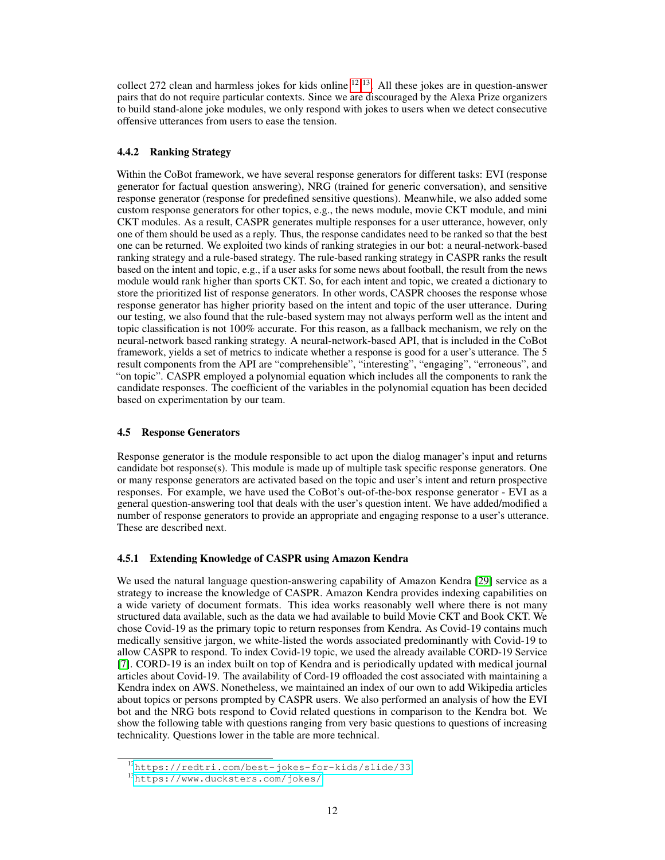collect 272 clean and harmless jokes for kids online  $12 \times 13$  $12 \times 13$  $12 \times 13$ . All these jokes are in question-answer pairs that do not require particular contexts. Since we are discouraged by the Alexa Prize organizers to build stand-alone joke modules, we only respond with jokes to users when we detect consecutive offensive utterances from users to ease the tension.

## 4.4.2 Ranking Strategy

Within the CoBot framework, we have several response generators for different tasks: EVI (response generator for factual question answering), NRG (trained for generic conversation), and sensitive response generator (response for predefined sensitive questions). Meanwhile, we also added some custom response generators for other topics, e.g., the news module, movie CKT module, and mini CKT modules. As a result, CASPR generates multiple responses for a user utterance, however, only one of them should be used as a reply. Thus, the response candidates need to be ranked so that the best one can be returned. We exploited two kinds of ranking strategies in our bot: a neural-network-based ranking strategy and a rule-based strategy. The rule-based ranking strategy in CASPR ranks the result based on the intent and topic, e.g., if a user asks for some news about football, the result from the news module would rank higher than sports CKT. So, for each intent and topic, we created a dictionary to store the prioritized list of response generators. In other words, CASPR chooses the response whose response generator has higher priority based on the intent and topic of the user utterance. During our testing, we also found that the rule-based system may not always perform well as the intent and topic classification is not 100% accurate. For this reason, as a fallback mechanism, we rely on the neural-network based ranking strategy. A neural-network-based API, that is included in the CoBot framework, yields a set of metrics to indicate whether a response is good for a user's utterance. The 5 result components from the API are "comprehensible", "interesting", "engaging", "erroneous", and "on topic". CASPR employed a polynomial equation which includes all the components to rank the candidate responses. The coefficient of the variables in the polynomial equation has been decided based on experimentation by our team.

## 4.5 Response Generators

Response generator is the module responsible to act upon the dialog manager's input and returns candidate bot response(s). This module is made up of multiple task specific response generators. One or many response generators are activated based on the topic and user's intent and return prospective responses. For example, we have used the CoBot's out-of-the-box response generator - EVI as a general question-answering tool that deals with the user's question intent. We have added/modified a number of response generators to provide an appropriate and engaging response to a user's utterance. These are described next.

#### 4.5.1 Extending Knowledge of CASPR using Amazon Kendra

We used the natural language question-answering capability of Amazon Kendra [\[29\]](#page-20-4) service as a strategy to increase the knowledge of CASPR. Amazon Kendra provides indexing capabilities on a wide variety of document formats. This idea works reasonably well where there is not many structured data available, such as the data we had available to build Movie CKT and Book CKT. We chose Covid-19 as the primary topic to return responses from Kendra. As Covid-19 contains much medically sensitive jargon, we white-listed the words associated predominantly with Covid-19 to allow CASPR to respond. To index Covid-19 topic, we used the already available CORD-19 Service [\[7\]](#page-18-6). CORD-19 is an index built on top of Kendra and is periodically updated with medical journal articles about Covid-19. The availability of Cord-19 offloaded the cost associated with maintaining a Kendra index on AWS. Nonetheless, we maintained an index of our own to add Wikipedia articles about topics or persons prompted by CASPR users. We also performed an analysis of how the EVI bot and the NRG bots respond to Covid related questions in comparison to the Kendra bot. We show the following table with questions ranging from very basic questions to questions of increasing technicality. Questions lower in the table are more technical.

<span id="page-11-0"></span><sup>12</sup><https://redtri.com/best-jokes-for-kids/slide/33>

<span id="page-11-1"></span><sup>13</sup><https://www.ducksters.com/jokes/>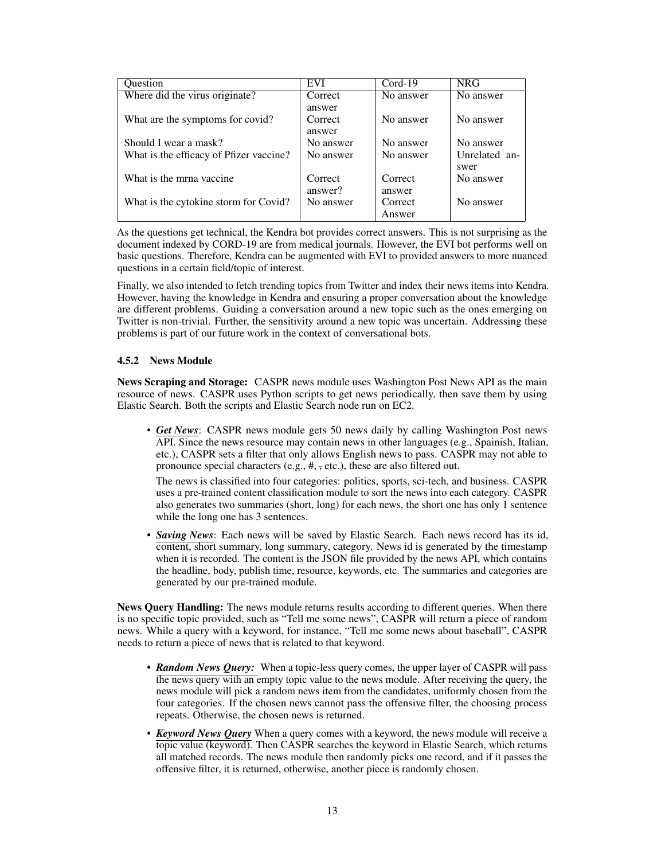| Question                                | EVI       | $Cord-19$ | <b>NRG</b>    |
|-----------------------------------------|-----------|-----------|---------------|
| Where did the virus originate?          | Correct   | No answer | No answer     |
|                                         | answer    |           |               |
| What are the symptoms for covid?        | Correct   | No answer | No answer     |
|                                         | answer    |           |               |
| Should I wear a mask?                   | No answer | No answer | No answer     |
| What is the efficacy of Pfizer vaccine? | No answer | No answer | Unrelated an- |
|                                         |           |           | swer          |
| What is the mrna vaccine.               | Correct   | Correct   | No answer     |
|                                         | answer?   | answer    |               |
| What is the cytokine storm for Covid?   | No answer | Correct   | No answer     |
|                                         |           | Answer    |               |

As the questions get technical, the Kendra bot provides correct answers. This is not surprising as the document indexed by CORD-19 are from medical journals. However, the EVI bot performs well on basic questions. Therefore, Kendra can be augmented with EVI to provided answers to more nuanced questions in a certain field/topic of interest.

Finally, we also intended to fetch trending topics from Twitter and index their news items into Kendra. However, having the knowledge in Kendra and ensuring a proper conversation about the knowledge are different problems. Guiding a conversation around a new topic such as the ones emerging on Twitter is non-trivial. Further, the sensitivity around a new topic was uncertain. Addressing these problems is part of our future work in the context of conversational bots.

#### 4.5.2 News Module

News Scraping and Storage: CASPR news module uses Washington Post News API as the main resource of news. CASPR uses Python scripts to get news periodically, then save them by using Elastic Search. Both the scripts and Elastic Search node run on EC2.

• *Get News*: CASPR news module gets 50 news daily by calling Washington Post news API. Since the news resource may contain news in other languages (e.g., Spainish, Italian, etc.), CASPR sets a filter that only allows English news to pass. CASPR may not able to pronounce special characters (e.g., #,  $\tau$ , etc.), these are also filtered out.

The news is classified into four categories: politics, sports, sci-tech, and business. CASPR uses a pre-trained content classification module to sort the news into each category. CASPR also generates two summaries (short, long) for each news, the short one has only 1 sentence while the long one has 3 sentences.

• *Saving News*: Each news will be saved by Elastic Search. Each news record has its id, content, short summary, long summary, category. News id is generated by the timestamp when it is recorded. The content is the JSON file provided by the news API, which contains the headline, body, publish time, resource, keywords, etc. The summaries and categories are generated by our pre-trained module.

News Query Handling: The news module returns results according to different queries. When there is no specific topic provided, such as "Tell me some news", CASPR will return a piece of random news. While a query with a keyword, for instance, "Tell me some news about baseball", CASPR needs to return a piece of news that is related to that keyword.

- *Random News Query:* When a topic-less query comes, the upper layer of CASPR will pass the news query with an empty topic value to the news module. After receiving the query, the news module will pick a random news item from the candidates, uniformly chosen from the four categories. If the chosen news cannot pass the offensive filter, the choosing process repeats. Otherwise, the chosen news is returned.
- *Keyword News Query* When a query comes with a keyword, the news module will receive a topic value (keyword). Then CASPR searches the keyword in Elastic Search, which returns all matched records. The news module then randomly picks one record, and if it passes the offensive filter, it is returned, otherwise, another piece is randomly chosen.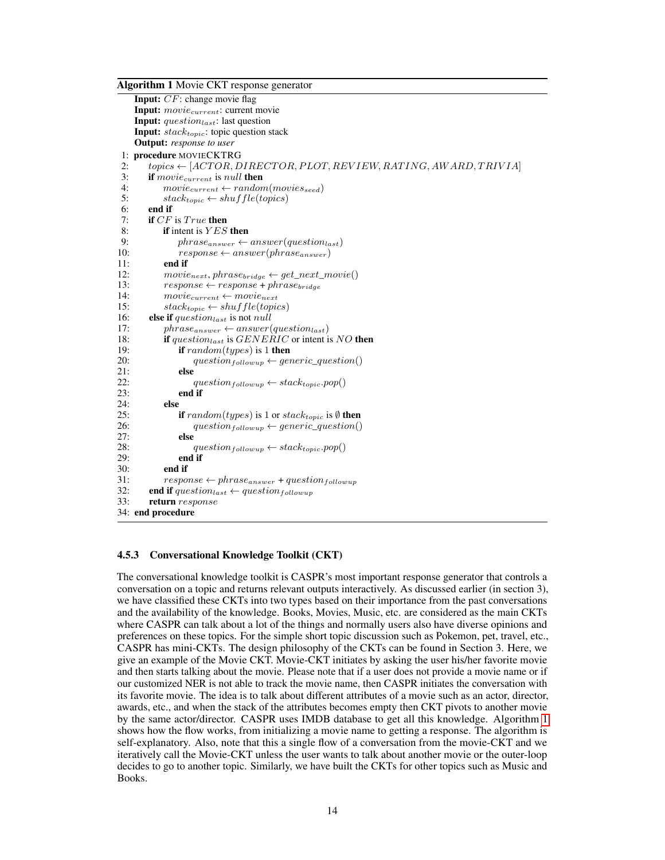Algorithm 1 Movie CKT response generator

<span id="page-13-0"></span>Input: CF: change movie flag Input:  $movie_{current}$ : current movie **Input:** question<sub>last</sub>: last question **Input:**  $stack_{topic}$ : topic question stack Output: *response to user* 1: procedure MOVIECKTRG 2:  $topics \leftarrow [ACTOR, DIRECTOR, PLOT, REVIEW, RATING, AWARD, TRIVIA]$ 3: **if** movie<sub>current</sub> is null **then**<br>4: movie<sub>current</sub>  $\leftarrow$  random 4:  $move_{current} \leftarrow random(movies_{seed})$ <br>5:  $stack_{tonic} \leftarrow shutf1e(topics)$  $stack_{topic} \leftarrow shuffle(topics)$ 6: end if<br>7: if  $CF$ 7: **if**  $CF$  is  $True$  **then**<br>8: **if** intent is  $YES$ 8: **if** intent is *YES* then<br>9:  $hras_{\text{Carsner}} \leftarrow$ 9: phrase<sub>answer</sub> ← answer(question<sub>last</sub>)<br>10: response ← answer(phrase<sub>answer</sub>) 10:  $response \leftarrow answer(phrase_{answer})$ <br>11: **end if** end if 12:  $move_{next}, phrase_{bridge} \leftarrow get\_next\_movie()$ <br>13:  $response \leftarrow response + phrase_{bridge}$ 13:  $response \leftarrow response + phrase_{bridge}$ <br>14:  $movie_{current} \leftarrow movie_{next}$  $movie_{current} \leftarrow movie_{next}$ 15:  $stack_{topic} \leftarrow shuffle(topics)$ 16: **else if** question<sub>last</sub> is not null<br>17:  $phras_{C22} \leftarrow ansuer($ 17: phrase<sub>answer</sub> ← answer(question<sub>last</sub>)<br>18: **if** question<sub>last</sub> is *GENERIC* or intent i if question<sub>last</sub> is  $GENERIC$  or intent is NO then 19: **if**  $random(types)$  is 1 **then** 20:  $question_{following} \leftarrow generic\_question()$ <br>
21. else 21:  $\text{else}$ <br>22:  $\text{else}$ 22:  $\text{question}_{\text{following}} \leftarrow \text{stack}_{\text{topic}.pop()}$ <br>23: **end if** end if  $24:$  else<br> $25:$ **if** random(types) is 1 or stack<sub>topic</sub> is  $\emptyset$  then 26:  $question_{following} \leftarrow generic\_question()$ <br>27: **else** 27: **else**<br>28: 28:  $question_{following} \leftarrow stack_{topic.pop()}$ <br>29: **end if** end if 30: end if 31: response ← phrase<sub>answer</sub> + question<sub>followup</sub><br>32: **end if** question<sub>iest</sub> ← question<sub>followup</sub> end if  $question_{last} \leftarrow question_{following}$ 33: return response 34: end procedure

#### 4.5.3 Conversational Knowledge Toolkit (CKT)

The conversational knowledge toolkit is CASPR's most important response generator that controls a conversation on a topic and returns relevant outputs interactively. As discussed earlier (in section 3), we have classified these CKTs into two types based on their importance from the past conversations and the availability of the knowledge. Books, Movies, Music, etc. are considered as the main CKTs where CASPR can talk about a lot of the things and normally users also have diverse opinions and preferences on these topics. For the simple short topic discussion such as Pokemon, pet, travel, etc., CASPR has mini-CKTs. The design philosophy of the CKTs can be found in Section 3. Here, we give an example of the Movie CKT. Movie-CKT initiates by asking the user his/her favorite movie and then starts talking about the movie. Please note that if a user does not provide a movie name or if our customized NER is not able to track the movie name, then CASPR initiates the conversation with its favorite movie. The idea is to talk about different attributes of a movie such as an actor, director, awards, etc., and when the stack of the attributes becomes empty then CKT pivots to another movie by the same actor/director. CASPR uses IMDB database to get all this knowledge. Algorithm [1](#page-13-0) shows how the flow works, from initializing a movie name to getting a response. The algorithm is self-explanatory. Also, note that this a single flow of a conversation from the movie-CKT and we iteratively call the Movie-CKT unless the user wants to talk about another movie or the outer-loop decides to go to another topic. Similarly, we have built the CKTs for other topics such as Music and Books.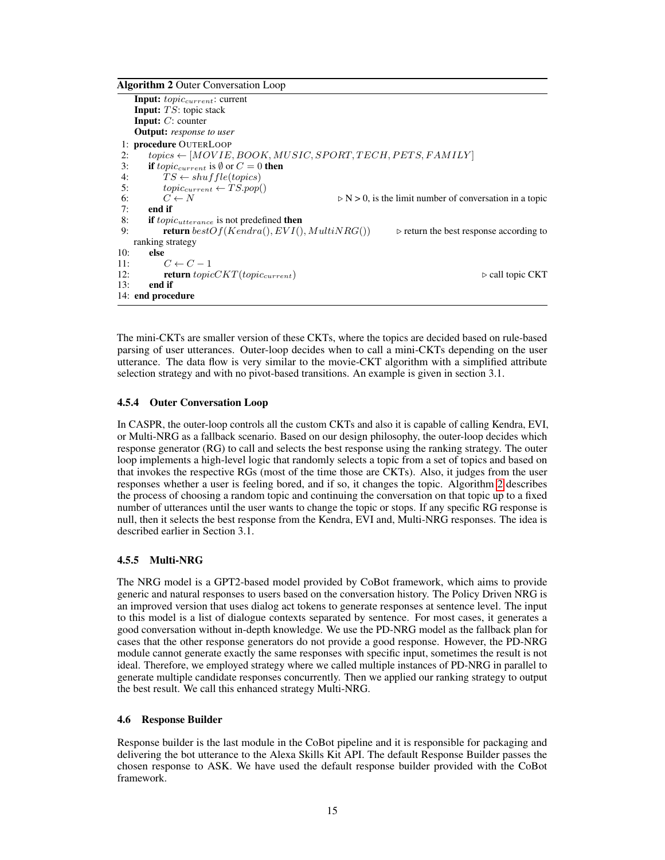Algorithm 2 Outer Conversation Loop

```
Input: topiccurrent: current
    Input: TS: topic stack
    Input: C: counter
    Output: response to user
1: procedure OUTERLOOP<br>2: topics \leftarrow [MOVIE]2: topics \leftarrow [MOVIE, BOOK, MUSIC, SPORT, TECH, PETS, FAMILY]<br>3: if topic-urrent is \emptyset or C = 0 then
         if topic<sub>current</sub> is \emptyset or C = 0 then
4: TS \leftarrow shuffle(topics)<br>5: tonic_{current} \leftarrow TS.pop(5: topic_{current} \leftarrow \hat{T} \hat{S}.pop()<br>6: C \leftarrow N6: C \leftarrow N \triangleright N > 0, is the limit number of conversation in a topic<br>7: end if
         end if
8: if topic_{utterance} is not predefined then<br>9. return bestOf(Kendra() EVI()return bestOf(Kendra(), EVI(), MultiNRG()) \triangleright return the best response according to
    ranking strategy
10: else<br>11:
             C \leftarrow C - 112: return topicCKT(topic_{current}) \triangleright call topic CKT
13: end if
14: end procedure
```
The mini-CKTs are smaller version of these CKTs, where the topics are decided based on rule-based parsing of user utterances. Outer-loop decides when to call a mini-CKTs depending on the user utterance. The data flow is very similar to the movie-CKT algorithm with a simplified attribute selection strategy and with no pivot-based transitions. An example is given in section 3.1.

#### 4.5.4 Outer Conversation Loop

In CASPR, the outer-loop controls all the custom CKTs and also it is capable of calling Kendra, EVI, or Multi-NRG as a fallback scenario. Based on our design philosophy, the outer-loop decides which response generator (RG) to call and selects the best response using the ranking strategy. The outer loop implements a high-level logic that randomly selects a topic from a set of topics and based on that invokes the respective RGs (most of the time those are CKTs). Also, it judges from the user responses whether a user is feeling bored, and if so, it changes the topic. Algorithm [2](#page-14-0) describes the process of choosing a random topic and continuing the conversation on that topic up to a fixed number of utterances until the user wants to change the topic or stops. If any specific RG response is null, then it selects the best response from the Kendra, EVI and, Multi-NRG responses. The idea is described earlier in Section 3.1.

#### 4.5.5 Multi-NRG

The NRG model is a GPT2-based model provided by CoBot framework, which aims to provide generic and natural responses to users based on the conversation history. The Policy Driven NRG is an improved version that uses dialog act tokens to generate responses at sentence level. The input to this model is a list of dialogue contexts separated by sentence. For most cases, it generates a good conversation without in-depth knowledge. We use the PD-NRG model as the fallback plan for cases that the other response generators do not provide a good response. However, the PD-NRG module cannot generate exactly the same responses with specific input, sometimes the result is not ideal. Therefore, we employed strategy where we called multiple instances of PD-NRG in parallel to generate multiple candidate responses concurrently. Then we applied our ranking strategy to output the best result. We call this enhanced strategy Multi-NRG.

#### 4.6 Response Builder

Response builder is the last module in the CoBot pipeline and it is responsible for packaging and delivering the bot utterance to the Alexa Skills Kit API. The default Response Builder passes the chosen response to ASK. We have used the default response builder provided with the CoBot framework.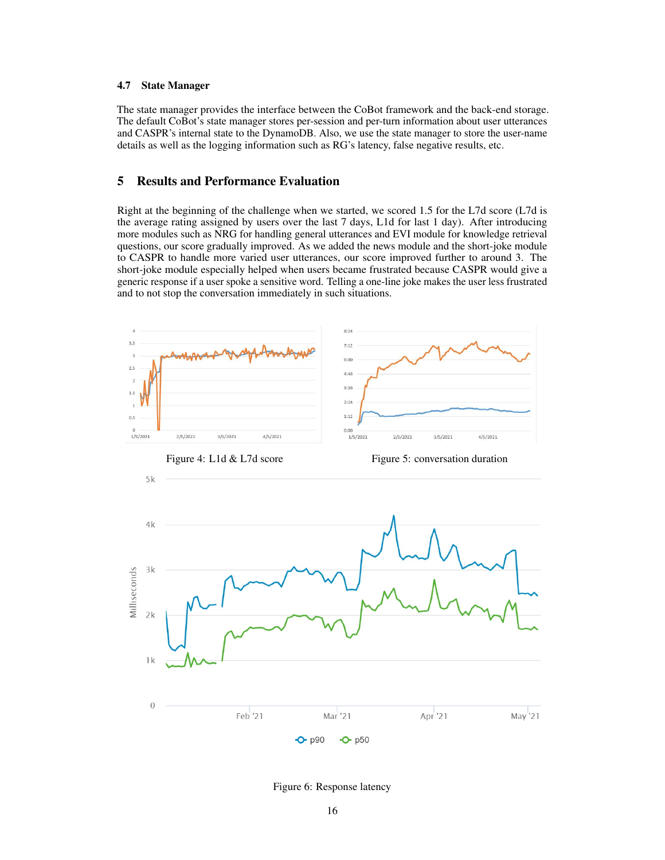#### 4.7 State Manager

The state manager provides the interface between the CoBot framework and the back-end storage. The default CoBot's state manager stores per-session and per-turn information about user utterances and CASPR's internal state to the DynamoDB. Also, we use the state manager to store the user-name details as well as the logging information such as RG's latency, false negative results, etc.

# 5 Results and Performance Evaluation

Right at the beginning of the challenge when we started, we scored 1.5 for the L7d score (L7d is the average rating assigned by users over the last 7 days, L1d for last 1 day). After introducing more modules such as NRG for handling general utterances and EVI module for knowledge retrieval questions, our score gradually improved. As we added the news module and the short-joke module to CASPR to handle more varied user utterances, our score improved further to around 3. The short-joke module especially helped when users became frustrated because CASPR would give a generic response if a user spoke a sensitive word. Telling a one-line joke makes the user less frustrated and to not stop the conversation immediately in such situations.

<span id="page-15-0"></span>

<span id="page-15-2"></span><span id="page-15-1"></span>Figure 6: Response latency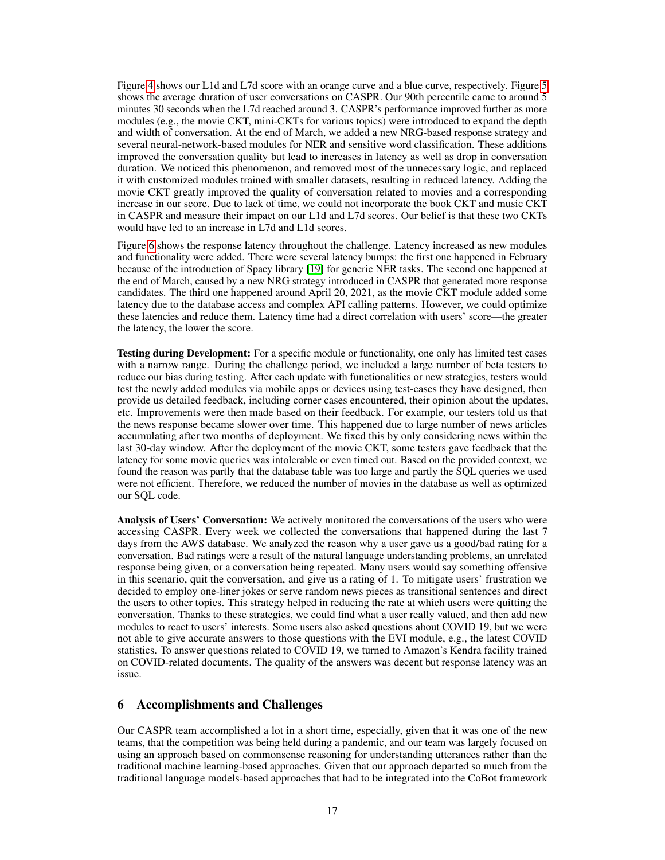Figure [4](#page-15-0) shows our L1d and L7d score with an orange curve and a blue curve, respectively. Figure [5](#page-15-1) shows the average duration of user conversations on CASPR. Our 90th percentile came to around 5 minutes 30 seconds when the L7d reached around 3. CASPR's performance improved further as more modules (e.g., the movie CKT, mini-CKTs for various topics) were introduced to expand the depth and width of conversation. At the end of March, we added a new NRG-based response strategy and several neural-network-based modules for NER and sensitive word classification. These additions improved the conversation quality but lead to increases in latency as well as drop in conversation duration. We noticed this phenomenon, and removed most of the unnecessary logic, and replaced it with customized modules trained with smaller datasets, resulting in reduced latency. Adding the movie CKT greatly improved the quality of conversation related to movies and a corresponding increase in our score. Due to lack of time, we could not incorporate the book CKT and music CKT in CASPR and measure their impact on our L1d and L7d scores. Our belief is that these two CKTs would have led to an increase in L7d and L1d scores.

Figure [6](#page-15-2) shows the response latency throughout the challenge. Latency increased as new modules and functionality were added. There were several latency bumps: the first one happened in February because of the introduction of Spacy library [\[19\]](#page-19-16) for generic NER tasks. The second one happened at the end of March, caused by a new NRG strategy introduced in CASPR that generated more response candidates. The third one happened around April 20, 2021, as the movie CKT module added some latency due to the database access and complex API calling patterns. However, we could optimize these latencies and reduce them. Latency time had a direct correlation with users' score—the greater the latency, the lower the score.

Testing during Development: For a specific module or functionality, one only has limited test cases with a narrow range. During the challenge period, we included a large number of beta testers to reduce our bias during testing. After each update with functionalities or new strategies, testers would test the newly added modules via mobile apps or devices using test-cases they have designed, then provide us detailed feedback, including corner cases encountered, their opinion about the updates, etc. Improvements were then made based on their feedback. For example, our testers told us that the news response became slower over time. This happened due to large number of news articles accumulating after two months of deployment. We fixed this by only considering news within the last 30-day window. After the deployment of the movie CKT, some testers gave feedback that the latency for some movie queries was intolerable or even timed out. Based on the provided context, we found the reason was partly that the database table was too large and partly the SQL queries we used were not efficient. Therefore, we reduced the number of movies in the database as well as optimized our SQL code.

Analysis of Users' Conversation: We actively monitored the conversations of the users who were accessing CASPR. Every week we collected the conversations that happened during the last 7 days from the AWS database. We analyzed the reason why a user gave us a good/bad rating for a conversation. Bad ratings were a result of the natural language understanding problems, an unrelated response being given, or a conversation being repeated. Many users would say something offensive in this scenario, quit the conversation, and give us a rating of 1. To mitigate users' frustration we decided to employ one-liner jokes or serve random news pieces as transitional sentences and direct the users to other topics. This strategy helped in reducing the rate at which users were quitting the conversation. Thanks to these strategies, we could find what a user really valued, and then add new modules to react to users' interests. Some users also asked questions about COVID 19, but we were not able to give accurate answers to those questions with the EVI module, e.g., the latest COVID statistics. To answer questions related to COVID 19, we turned to Amazon's Kendra facility trained on COVID-related documents. The quality of the answers was decent but response latency was an issue.

## 6 Accomplishments and Challenges

Our CASPR team accomplished a lot in a short time, especially, given that it was one of the new teams, that the competition was being held during a pandemic, and our team was largely focused on using an approach based on commonsense reasoning for understanding utterances rather than the traditional machine learning-based approaches. Given that our approach departed so much from the traditional language models-based approaches that had to be integrated into the CoBot framework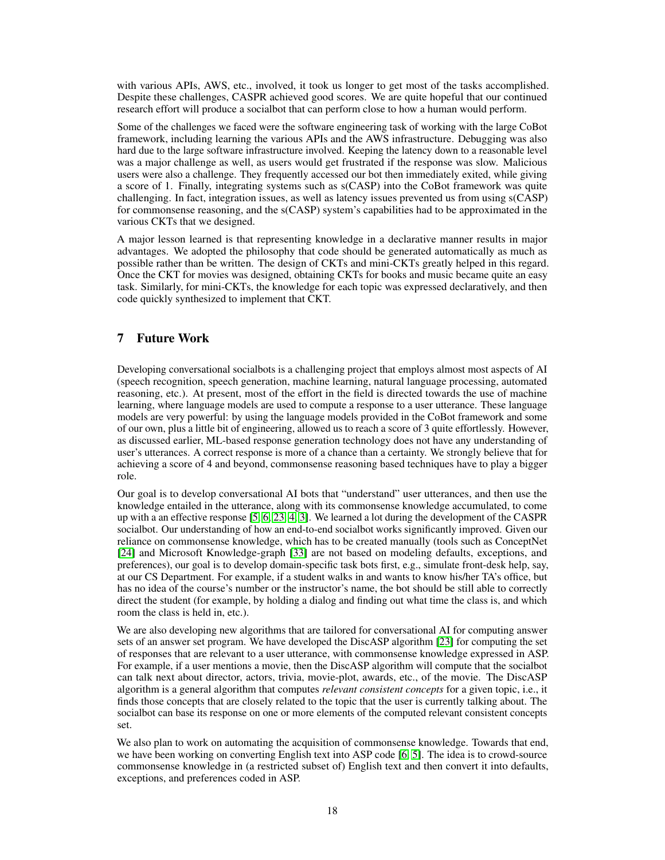with various APIs, AWS, etc., involved, it took us longer to get most of the tasks accomplished. Despite these challenges, CASPR achieved good scores. We are quite hopeful that our continued research effort will produce a socialbot that can perform close to how a human would perform.

Some of the challenges we faced were the software engineering task of working with the large CoBot framework, including learning the various APIs and the AWS infrastructure. Debugging was also hard due to the large software infrastructure involved. Keeping the latency down to a reasonable level was a major challenge as well, as users would get frustrated if the response was slow. Malicious users were also a challenge. They frequently accessed our bot then immediately exited, while giving a score of 1. Finally, integrating systems such as s(CASP) into the CoBot framework was quite challenging. In fact, integration issues, as well as latency issues prevented us from using s(CASP) for commonsense reasoning, and the s(CASP) system's capabilities had to be approximated in the various CKTs that we designed.

A major lesson learned is that representing knowledge in a declarative manner results in major advantages. We adopted the philosophy that code should be generated automatically as much as possible rather than be written. The design of CKTs and mini-CKTs greatly helped in this regard. Once the CKT for movies was designed, obtaining CKTs for books and music became quite an easy task. Similarly, for mini-CKTs, the knowledge for each topic was expressed declaratively, and then code quickly synthesized to implement that CKT.

# 7 Future Work

Developing conversational socialbots is a challenging project that employs almost most aspects of AI (speech recognition, speech generation, machine learning, natural language processing, automated reasoning, etc.). At present, most of the effort in the field is directed towards the use of machine learning, where language models are used to compute a response to a user utterance. These language models are very powerful: by using the language models provided in the CoBot framework and some of our own, plus a little bit of engineering, allowed us to reach a score of 3 quite effortlessly. However, as discussed earlier, ML-based response generation technology does not have any understanding of user's utterances. A correct response is more of a chance than a certainty. We strongly believe that for achieving a score of 4 and beyond, commonsense reasoning based techniques have to play a bigger role.

Our goal is to develop conversational AI bots that "understand" user utterances, and then use the knowledge entailed in the utterance, along with its commonsense knowledge accumulated, to come up with a an effective response [\[5,](#page-18-1) [6,](#page-18-3) [23,](#page-19-2) [4,](#page-18-2) [3\]](#page-18-7). We learned a lot during the development of the CASPR socialbot. Our understanding of how an end-to-end socialbot works significantly improved. Given our reliance on commonsense knowledge, which has to be created manually (tools such as ConceptNet [\[24\]](#page-19-17) and Microsoft Knowledge-graph [\[33\]](#page-20-6) are not based on modeling defaults, exceptions, and preferences), our goal is to develop domain-specific task bots first, e.g., simulate front-desk help, say, at our CS Department. For example, if a student walks in and wants to know his/her TA's office, but has no idea of the course's number or the instructor's name, the bot should be still able to correctly direct the student (for example, by holding a dialog and finding out what time the class is, and which room the class is held in, etc.).

We are also developing new algorithms that are tailored for conversational AI for computing answer sets of an answer set program. We have developed the DiscASP algorithm [\[23\]](#page-19-2) for computing the set of responses that are relevant to a user utterance, with commonsense knowledge expressed in ASP. For example, if a user mentions a movie, then the DiscASP algorithm will compute that the socialbot can talk next about director, actors, trivia, movie-plot, awards, etc., of the movie. The DiscASP algorithm is a general algorithm that computes *relevant consistent concepts* for a given topic, i.e., it finds those concepts that are closely related to the topic that the user is currently talking about. The socialbot can base its response on one or more elements of the computed relevant consistent concepts set.

We also plan to work on automating the acquisition of commonsense knowledge. Towards that end, we have been working on converting English text into ASP code [\[6,](#page-18-3) [5\]](#page-18-1). The idea is to crowd-source commonsense knowledge in (a restricted subset of) English text and then convert it into defaults, exceptions, and preferences coded in ASP.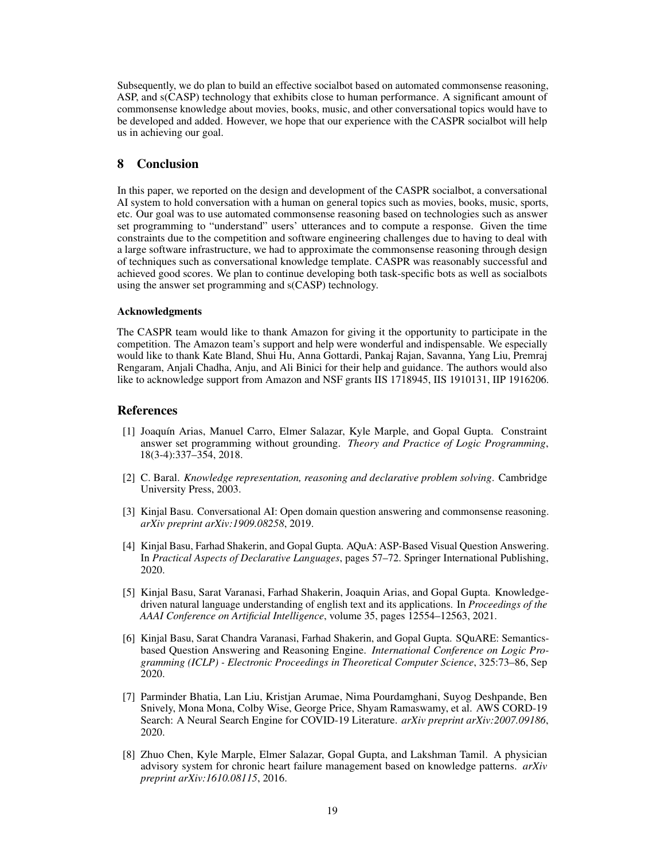Subsequently, we do plan to build an effective socialbot based on automated commonsense reasoning, ASP, and s(CASP) technology that exhibits close to human performance. A significant amount of commonsense knowledge about movies, books, music, and other conversational topics would have to be developed and added. However, we hope that our experience with the CASPR socialbot will help us in achieving our goal.

## 8 Conclusion

In this paper, we reported on the design and development of the CASPR socialbot, a conversational AI system to hold conversation with a human on general topics such as movies, books, music, sports, etc. Our goal was to use automated commonsense reasoning based on technologies such as answer set programming to "understand" users' utterances and to compute a response. Given the time constraints due to the competition and software engineering challenges due to having to deal with a large software infrastructure, we had to approximate the commonsense reasoning through design of techniques such as conversational knowledge template. CASPR was reasonably successful and achieved good scores. We plan to continue developing both task-specific bots as well as socialbots using the answer set programming and s(CASP) technology.

#### Acknowledgments

The CASPR team would like to thank Amazon for giving it the opportunity to participate in the competition. The Amazon team's support and help were wonderful and indispensable. We especially would like to thank Kate Bland, Shui Hu, Anna Gottardi, Pankaj Rajan, Savanna, Yang Liu, Premraj Rengaram, Anjali Chadha, Anju, and Ali Binici for their help and guidance. The authors would also like to acknowledge support from Amazon and NSF grants IIS 1718945, IIS 1910131, IIP 1916206.

#### References

- <span id="page-18-4"></span>[1] Joaquín Arias, Manuel Carro, Elmer Salazar, Kyle Marple, and Gopal Gupta. Constraint answer set programming without grounding. *Theory and Practice of Logic Programming*, 18(3-4):337–354, 2018.
- <span id="page-18-5"></span>[2] C. Baral. *Knowledge representation, reasoning and declarative problem solving*. Cambridge University Press, 2003.
- <span id="page-18-7"></span>[3] Kinjal Basu. Conversational AI: Open domain question answering and commonsense reasoning. *arXiv preprint arXiv:1909.08258*, 2019.
- <span id="page-18-2"></span>[4] Kinjal Basu, Farhad Shakerin, and Gopal Gupta. AQuA: ASP-Based Visual Question Answering. In *Practical Aspects of Declarative Languages*, pages 57–72. Springer International Publishing, 2020.
- <span id="page-18-1"></span>[5] Kinjal Basu, Sarat Varanasi, Farhad Shakerin, Joaquin Arias, and Gopal Gupta. Knowledgedriven natural language understanding of english text and its applications. In *Proceedings of the AAAI Conference on Artificial Intelligence*, volume 35, pages 12554–12563, 2021.
- <span id="page-18-3"></span>[6] Kinjal Basu, Sarat Chandra Varanasi, Farhad Shakerin, and Gopal Gupta. SQuARE: Semanticsbased Question Answering and Reasoning Engine. *International Conference on Logic Programming (ICLP) - Electronic Proceedings in Theoretical Computer Science*, 325:73–86, Sep 2020.
- <span id="page-18-6"></span>[7] Parminder Bhatia, Lan Liu, Kristjan Arumae, Nima Pourdamghani, Suyog Deshpande, Ben Snively, Mona Mona, Colby Wise, George Price, Shyam Ramaswamy, et al. AWS CORD-19 Search: A Neural Search Engine for COVID-19 Literature. *arXiv preprint arXiv:2007.09186*, 2020.
- <span id="page-18-0"></span>[8] Zhuo Chen, Kyle Marple, Elmer Salazar, Gopal Gupta, and Lakshman Tamil. A physician advisory system for chronic heart failure management based on knowledge patterns. *arXiv preprint arXiv:1610.08115*, 2016.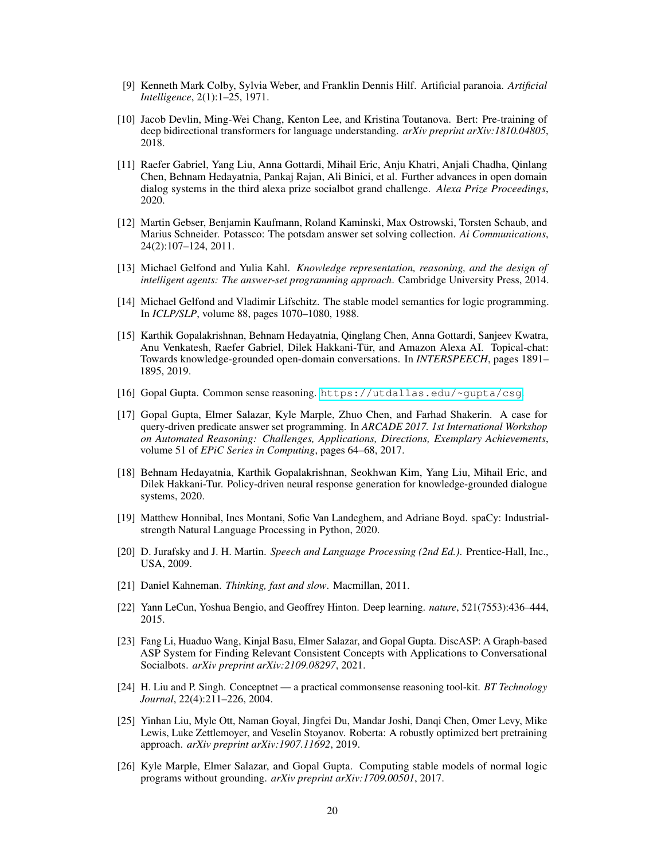- <span id="page-19-0"></span>[9] Kenneth Mark Colby, Sylvia Weber, and Franklin Dennis Hilf. Artificial paranoia. *Artificial Intelligence*, 2(1):1–25, 1971.
- <span id="page-19-10"></span>[10] Jacob Devlin, Ming-Wei Chang, Kenton Lee, and Kristina Toutanova. Bert: Pre-training of deep bidirectional transformers for language understanding. *arXiv preprint arXiv:1810.04805*, 2018.
- <span id="page-19-14"></span>[11] Raefer Gabriel, Yang Liu, Anna Gottardi, Mihail Eric, Anju Khatri, Anjali Chadha, Qinlang Chen, Behnam Hedayatnia, Pankaj Rajan, Ali Binici, et al. Further advances in open domain dialog systems in the third alexa prize socialbot grand challenge. *Alexa Prize Proceedings*, 2020.
- <span id="page-19-6"></span>[12] Martin Gebser, Benjamin Kaufmann, Roland Kaminski, Max Ostrowski, Torsten Schaub, and Marius Schneider. Potassco: The potsdam answer set solving collection. *Ai Communications*, 24(2):107–124, 2011.
- <span id="page-19-4"></span>[13] Michael Gelfond and Yulia Kahl. *Knowledge representation, reasoning, and the design of intelligent agents: The answer-set programming approach*. Cambridge University Press, 2014.
- <span id="page-19-3"></span>[14] Michael Gelfond and Vladimir Lifschitz. The stable model semantics for logic programming. In *ICLP/SLP*, volume 88, pages 1070–1080, 1988.
- <span id="page-19-15"></span>[15] Karthik Gopalakrishnan, Behnam Hedayatnia, Qinglang Chen, Anna Gottardi, Sanjeev Kwatra, Anu Venkatesh, Raefer Gabriel, Dilek Hakkani-Tür, and Amazon Alexa AI. Topical-chat: Towards knowledge-grounded open-domain conversations. In *INTERSPEECH*, pages 1891– 1895, 2019.
- <span id="page-19-5"></span>[16] Gopal Gupta. Common sense reasoning. <https://utdallas.edu/~gupta/csg>.
- <span id="page-19-7"></span>[17] Gopal Gupta, Elmer Salazar, Kyle Marple, Zhuo Chen, and Farhad Shakerin. A case for query-driven predicate answer set programming. In *ARCADE 2017. 1st International Workshop on Automated Reasoning: Challenges, Applications, Directions, Exemplary Achievements*, volume 51 of *EPiC Series in Computing*, pages 64–68, 2017.
- <span id="page-19-13"></span>[18] Behnam Hedayatnia, Karthik Gopalakrishnan, Seokhwan Kim, Yang Liu, Mihail Eric, and Dilek Hakkani-Tur. Policy-driven neural response generation for knowledge-grounded dialogue systems, 2020.
- <span id="page-19-16"></span>[19] Matthew Honnibal, Ines Montani, Sofie Van Landeghem, and Adriane Boyd. spaCy: Industrialstrength Natural Language Processing in Python, 2020.
- <span id="page-19-1"></span>[20] D. Jurafsky and J. H. Martin. *Speech and Language Processing (2nd Ed.)*. Prentice-Hall, Inc., USA, 2009.
- <span id="page-19-12"></span>[21] Daniel Kahneman. *Thinking, fast and slow*. Macmillan, 2011.
- <span id="page-19-9"></span>[22] Yann LeCun, Yoshua Bengio, and Geoffrey Hinton. Deep learning. *nature*, 521(7553):436–444, 2015.
- <span id="page-19-2"></span>[23] Fang Li, Huaduo Wang, Kinjal Basu, Elmer Salazar, and Gopal Gupta. DiscASP: A Graph-based ASP System for Finding Relevant Consistent Concepts with Applications to Conversational Socialbots. *arXiv preprint arXiv:2109.08297*, 2021.
- <span id="page-19-17"></span>[24] H. Liu and P. Singh. Conceptnet — a practical commonsense reasoning tool-kit. *BT Technology Journal*, 22(4):211–226, 2004.
- <span id="page-19-11"></span>[25] Yinhan Liu, Myle Ott, Naman Goyal, Jingfei Du, Mandar Joshi, Danqi Chen, Omer Levy, Mike Lewis, Luke Zettlemoyer, and Veselin Stoyanov. Roberta: A robustly optimized bert pretraining approach. *arXiv preprint arXiv:1907.11692*, 2019.
- <span id="page-19-8"></span>[26] Kyle Marple, Elmer Salazar, and Gopal Gupta. Computing stable models of normal logic programs without grounding. *arXiv preprint arXiv:1709.00501*, 2017.